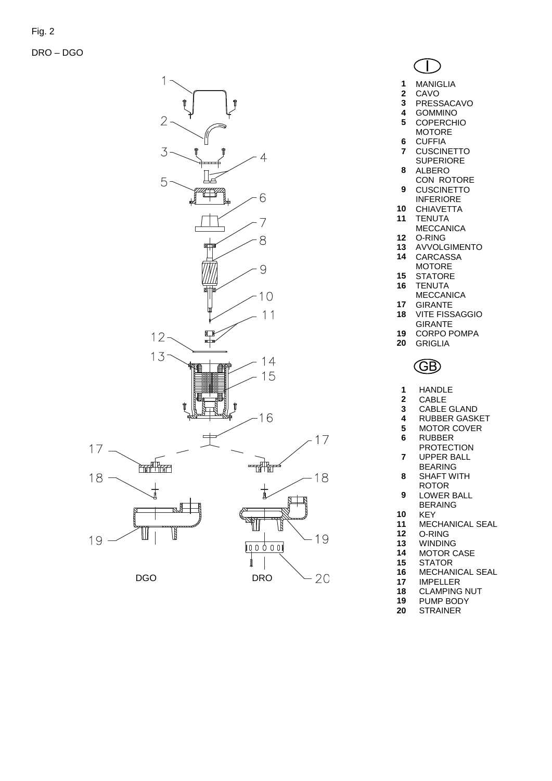DRO – DGO



| MANIGI |  |
|--------|--|

- MANIGLIA
- CAVO PRESSACAVO
- GOMMINO
- COPERCHIO
- MOTORE
- CUFFIA CUSCINETTO
- **SUPERIORE**
- ALBERO CON ROTORE
- CUSCINETTO
- INFERIORE
- CHIAVETTA
- TENUTA
- MECCANICA
- O -RING
- AVVOLGIMENTO
- CARCASSA MOTORE
- 
- STATORE TENUTA
	- MECCANICA
- GIRANTE
- VITE FISSAGGIO GIRANTE
- CORPO POMPA
- GRIGLIA



- HANDLE
- CABLE
- CABLE GLAND
- RUBBER GASKET
- MOTOR COVER RUBBER
- **PROTECTION**
- UPPER BALL
- BEARING
- SHAFT WITH ROTOR
- LOWER BALL BERAING
- KEY
- MECHANICAL SEAL
- O -RING
- WINDING
- MOTOR CASE
- STATOR
- MECHANICAL SEAL
- IMPELLER
- CLAMPING NUT
- PUMP BODY STRAINER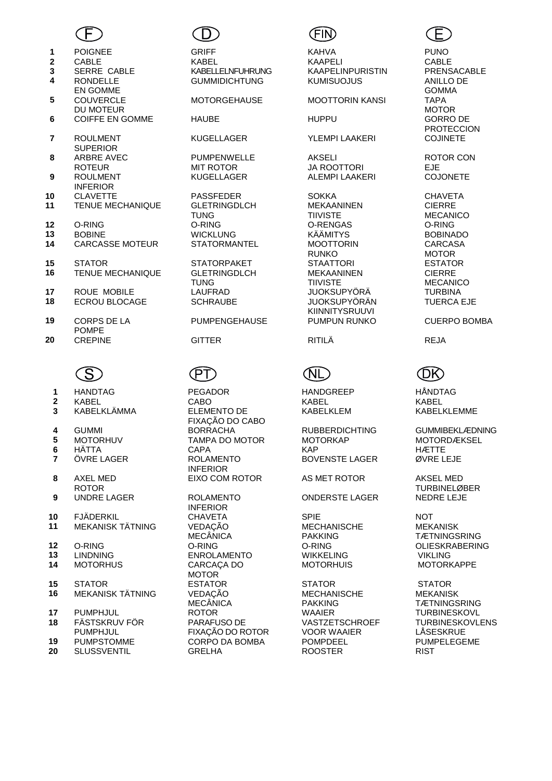

- 
- 
- 

**4** RONDELLE

- EN GOMME **5** COUVERCLE DU MOTEUR
- **6** COIFFE EN GOMME HAUBE HUPPU
- **7** ROULMENT **SUPERIOR 8** ARBRE AVEC
- ROTEUR **9** ROULMENT
- **INFERIOR**<br>CLAVETTE
- **11** TENUE MECHANIQUE GLETRINGDLCH
- 
- 
- **14** CARCASSE MOTEUR STATORMANTEL MOOTTORIN
- 
- **TENUE MECHANIQUE**
- 
- **ECROU BLOCAGE**
- **19** CORPS DE LA POMPE<br>CREPINE
- **20** CREPINE GITTER RITILÄ REJA



- **1** HANDTAG PEGADOR HANDGREEP HÅNDTAG **2** KABEL CABO KABEL KABEL **3** KABELKLÄMMA ELEMENTO DE **4** GUMMI BORRACHA RUBBERDICHTING GUMMIBEKLÆDNING **5** MOTORHUV TAMPA DO MOTOR MOTORKAP MOTORDÆKSEL **6** HÄTTA CAPA KAP HÆTTE **7** ÖVRE LAGER ROLAMENTO **8** AXEL MED **ROTOR 9** UNDRE LAGER ROLAMENTO **10** FJÄDERKIL CHAVETA SPIE NOT **11** MEKANISK TÄTNING VEDAÇÃO **12** O-RING O-RING O-RING OLIESKRABERING **13 LINDNING ENROLAMENTO WIKKELING**<br>**14 MOTORHUS CARCACA DO MOTORHUIS**
- **15** STATOR ESTATOR STATOR STATOR **16** MEKANISK TÄTNING VEDAÇÃO
- **17** PUMPHJUL ROTOR WAAIER TURBINESKOVL **18** FÄSTSKRUV FÖR
- PUMPHJUL<br>PUMPSTOMME
- **20 SLUSSVENTIL**



 POIGNEE GRIFF KAHVA PUNO CABLE KABEL KAAPELI CABLE SERRE CABLE KABELLELNFUHRUNG KAAPELINPURISTIN PRENSACABLE GUMMIDICHTUNG KUMISUOJUS ANILLO DE

PUMPENWELLE MIT ROTOR<br>KUGELLAGER

TUNG<br>O-RING

**15** STATOR STATORPAKET<br>**16** TENUE MECHANIQUE GLETRINGDLCH TUNG<br>LAUFRAD

PUMPENGEHAUSE PUMPUN RUNKO CUERPO BOMBA

## **PT**

FIXAÇÃO DO CABO INFERIOR EIXO COM ROTOR AS MET ROTOR AKSEL MED

INFERIOR MECÂNICA<br>O-RING **CARCACA DO** MOTOR<br>ESTATOR MECÂNICA<br>ROTOR PARAFUSO DE FIXAÇÃO DO ROTOR

### MOTORGEHAUSE MOOTTORIN KANSI

KUGELLAGER YLEMPI LAAKERI

AKSELI JA ROOTTORI ALEMPI LAAKERI

**10** CLAVETTE PASSFEDER SOKKA CHAVETA MEKAANINEN **TIIVISTE<br>O-RENGAS 12** O-RING O-RING O-RENGAS O-RING **13** BOBINE WICKLUNG KÄÄMITYS BOBINADO RUNKO<br>STAATTORI MEKAANINEN TIIVISTE **17** ROUE MOBILE LAUFRAD JUOKSUPYÖRÄ TURBINA KIINNITYSRUUVI<br>PUMPUN RUNKO

BOVENSTE LAGER ØVRE LEJE

ONDERSTE LAGER

MECHANISCHE PAKKING<br>O-RING

MECHANISCHE PAKKING<br>WAAIER **VASTZETSCHROEF** VOOR WAAIER **19** PUMPSTOMME CORPO DA BOMBA POMPDEEL PUMPELEGEME



**GOMMA**<br>TAPA MOTOR<br>GORRO DE PROTECCION<br>COJINETE

ROTOR CON EJE<br>COJONETE

CIERRE MECANICO<br>O-RING CARCASA MOTOR<br>ESTATOR CIERRE MECANICO<br>TURBINA TUERCA EJE

KABELKLEM KABELKLEMME

TURBINELØBER<br>NEDRE LEJE

MEKANISK **TÆTNINGSRING MOTORKAPPE** 

MEKANISK **TÆTNINGSRING** TURBINESKOVLENS LÅSESKRUE<br>PUMPELEGEME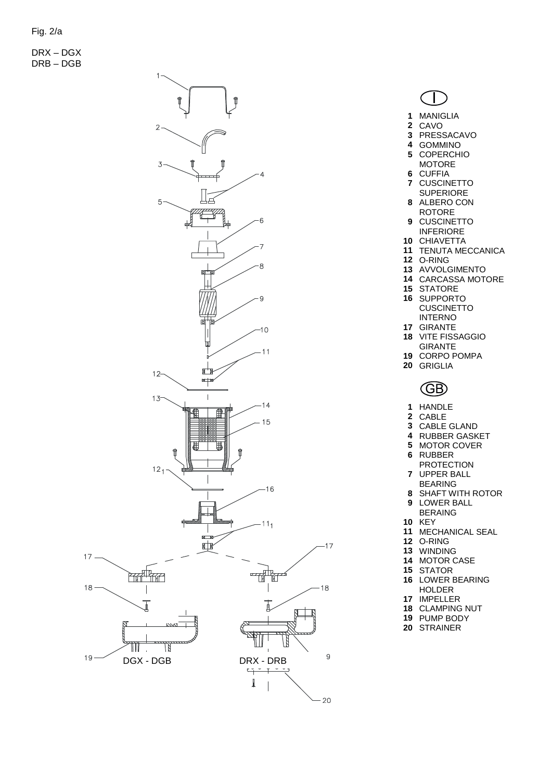DRX – DGX DRB – DGB



| 1  | MANIGLIA       |
|----|----------------|
| 2  | CAVO           |
| 3  | PRESSACAVO     |
| 4  | <b>GOMMINO</b> |
| 5  | COPERCHIO      |
|    | MOTORF         |
| 6  | <b>CUFFIA</b>  |
| 7  | CUSCINETTO     |
|    | SUPERIORE      |
| 8. | ALBERO CON     |
|    |                |

- ROTORE CUSCINETTO
- INFERIORE
- CHIAVETTA
- TENUTA MECCANICA O-RING
- 
- AVVOLGIMENTO
- CARCASSA MOTORE
- STATORE SUPPORTO
- **CUSCINETTO** INTERNO
- GIRANTE
- VITE FISSAGGIO GIRANTE
- CORPO POMPA
- GRIGLIA

# **GB**

- HANDLE
- CABLE
- CABLE GLAND
- RUBBER GASKET
- MOTOR COVER
- RUBBER
- PROTECTION UPPER BALL
- BEARING
- SHAFT WITH ROTOR LOWER BALL
- BERAING
- KEY
- MECHANICAL SEAL
- O-RING
- WINDING
- MOTOR CASE STATOR
- LOWER BEARING
	- HOLDER
- IMPELLER
- CLAMPING NUT
- PUMP BODY STRAINER